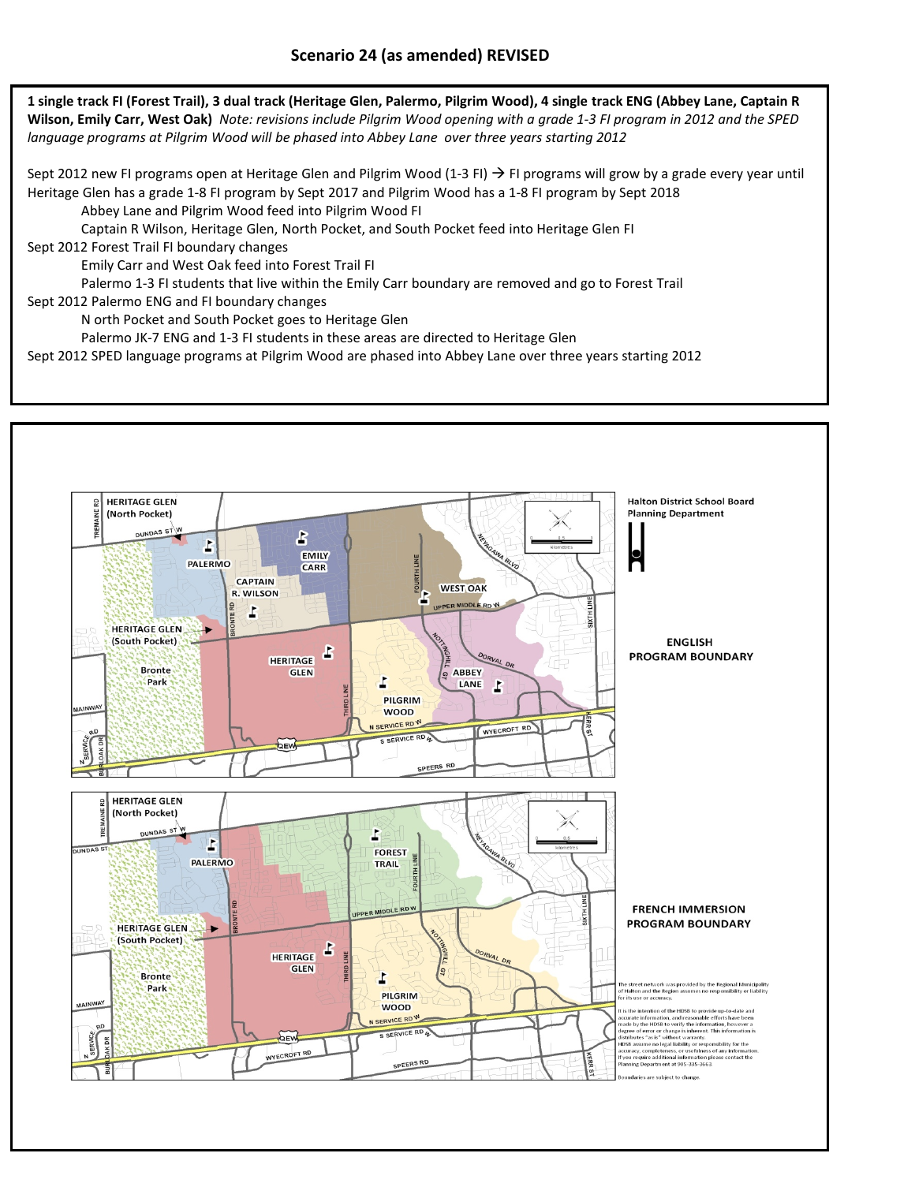1 single track FI (Forest Trail), 3 dual track (Heritage Glen, Palermo, Pilgrim Wood), 4 single track ENG (Abbey Lane, Captain R Wilson, Emily Carr, West Oak) Note: revisions include Pilgrim Wood opening with a grade 1-3 FI program in 2012 and the SPED *language programs at Pilgrim Wood will be phased into Abbey Lane over three years starting 2012*

Sept 2012 new FI programs open at Heritage Glen and Pilgrim Wood (1-3 FI)  $\rightarrow$  FI programs will grow by a grade every year until Heritage Glen has a grade 1‐8 FI program by Sept 2017 and Pilgrim Wood has a 1‐8 FI program by Sept 2018

Abbey Lane and Pilgrim Wood feed into Pilgrim Wood FI

Captain R Wilson, Heritage Glen, North Pocket, and South Pocket feed into Heritage Glen FI

Sept 2012 Forest Trail FI boundary changes

Emily Carr and West Oak feed into Forest Trail FI

Palermo 1‐3 FI students that live within the Emily Carr boundary are removed and go to Forest Trail

Sept 2012 Palermo ENG and FI boundary changes

N orth Pocket and South Pocket goes to Heritage Glen

Palermo JK-7 ENG and 1-3 FI students in these areas are directed to Heritage Glen

Sept 2012 SPED language programs at Pilgrim Wood are phased into Abbey Lane over three years starting 2012